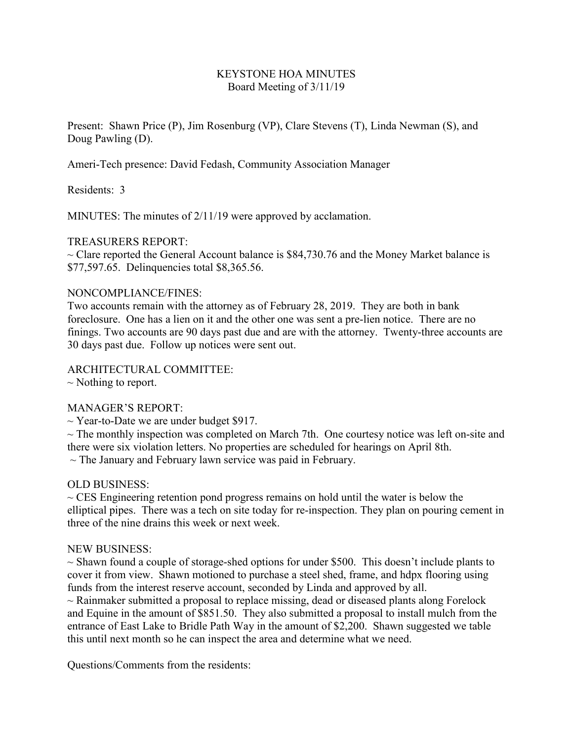## KEYSTONE HOA MINUTES Board Meeting of 3/11/19

Present: Shawn Price (P), Jim Rosenburg (VP), Clare Stevens (T), Linda Newman (S), and Doug Pawling (D).

Ameri-Tech presence: David Fedash, Community Association Manager

Residents: 3

MINUTES: The minutes of 2/11/19 were approved by acclamation.

# TREASURERS REPORT:

 $\sim$  Clare reported the General Account balance is \$84,730.76 and the Money Market balance is \$77,597.65. Delinquencies total \$8,365.56.

### NONCOMPLIANCE/FINES:

Two accounts remain with the attorney as of February 28, 2019. They are both in bank foreclosure. One has a lien on it and the other one was sent a pre-lien notice. There are no finings. Two accounts are 90 days past due and are with the attorney. Twenty-three accounts are 30 days past due. Follow up notices were sent out.

## ARCHITECTURAL COMMITTEE:

 $\sim$  Nothing to report.

### MANAGER'S REPORT:

 $\sim$  Year-to-Date we are under budget \$917.

 $\sim$  The monthly inspection was completed on March 7th. One courtesy notice was left on-site and there were six violation letters. No properties are scheduled for hearings on April 8th.  $\sim$  The January and February lawn service was paid in February.

### OLD BUSINESS:

 $\sim$  CES Engineering retention pond progress remains on hold until the water is below the elliptical pipes. There was a tech on site today for re-inspection. They plan on pouring cement in three of the nine drains this week or next week.

### NEW BUSINESS:

 $\sim$  Shawn found a couple of storage-shed options for under \$500. This doesn't include plants to cover it from view. Shawn motioned to purchase a steel shed, frame, and hdpx flooring using funds from the interest reserve account, seconded by Linda and approved by all.

 $\sim$  Rainmaker submitted a proposal to replace missing, dead or diseased plants along Forelock and Equine in the amount of \$851.50. They also submitted a proposal to install mulch from the entrance of East Lake to Bridle Path Way in the amount of \$2,200. Shawn suggested we table this until next month so he can inspect the area and determine what we need.

Questions/Comments from the residents: